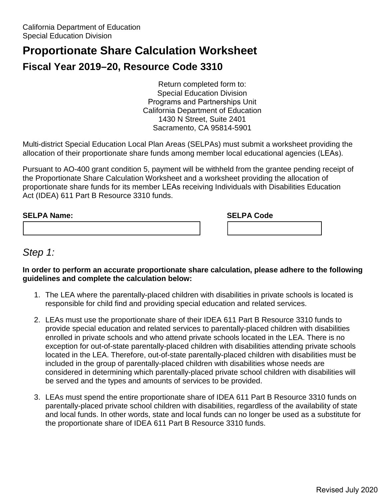# **Proportionate Share Calculation Worksheet**

# **Fiscal Year 2019–20, Resource Code 3310**

Return completed form to: Special Education Division Programs and Partnerships Unit California Department of Education 1430 N Street, Suite 2401 Sacramento, CA 95814-5901

 allocation of their proportionate share funds among member local educational agencies (LEAs). Multi-district Special Education Local Plan Areas (SELPAs) must submit a worksheet providing the

 Pursuant to AO-400 grant condition 5, payment will be withheld from the grantee pending receipt of Act (IDEA) 611 Part B Resource 3310 funds. the Proportionate Share Calculation Worksheet and a worksheet providing the allocation of proportionate share funds for its member LEAs receiving Individuals with Disabilities Education

| <b>SELPA Name:</b> | <b>SELPA Code</b> |
|--------------------|-------------------|
|                    |                   |

### *Step 1:*

#### **In order to perform an accurate proportionate share calculation, please adhere to the following guidelines and complete the calculation below:**

- 1. The LEA where the parentally-placed children with disabilities in private schools is located is responsible for child find and providing special education and related services.
- enrolled in private schools and who attend private schools located in the LEA. There is no 2. LEAs must use the proportionate share of their IDEA 611 Part B Resource 3310 funds to provide special education and related services to parentally-placed children with disabilities exception for out-of-state parentally-placed children with disabilities attending private schools located in the LEA. Therefore, out-of-state parentally-placed children with disabilities must be included in the group of parentally-placed children with disabilities whose needs are considered in determining which parentally-placed private school children with disabilities will be served and the types and amounts of services to be provided.
- and local funds. In other words, state and local funds can no longer be used as a substitute for 3. LEAs must spend the entire proportionate share of IDEA 611 Part B Resource 3310 funds on parentally-placed private school children with disabilities, regardless of the availability of state the proportionate share of IDEA 611 Part B Resource 3310 funds.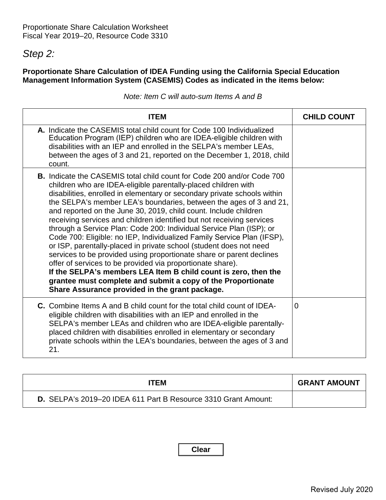## *Step 2:*

### **Proportionate Share Calculation of IDEA Funding using the California Special Education Management Information System (CASEMIS) Codes as indicated in the items below:**

| ITEM                                                                                                                                                                                                                                                                                                                                                                                                                                                                                                                                                                                                                                                                                                                                                                                                                                                                                                                                                                                             | <b>CHILD COUNT</b> |
|--------------------------------------------------------------------------------------------------------------------------------------------------------------------------------------------------------------------------------------------------------------------------------------------------------------------------------------------------------------------------------------------------------------------------------------------------------------------------------------------------------------------------------------------------------------------------------------------------------------------------------------------------------------------------------------------------------------------------------------------------------------------------------------------------------------------------------------------------------------------------------------------------------------------------------------------------------------------------------------------------|--------------------|
| A. Indicate the CASEMIS total child count for Code 100 Individualized<br>Education Program (IEP) children who are IDEA-eligible children with<br>disabilities with an IEP and enrolled in the SELPA's member LEAs,<br>between the ages of 3 and 21, reported on the December 1, 2018, child<br>count.                                                                                                                                                                                                                                                                                                                                                                                                                                                                                                                                                                                                                                                                                            |                    |
| <b>B.</b> Indicate the CASEMIS total child count for Code 200 and/or Code 700<br>children who are IDEA-eligible parentally-placed children with<br>disabilities, enrolled in elementary or secondary private schools within<br>the SELPA's member LEA's boundaries, between the ages of 3 and 21,<br>and reported on the June 30, 2019, child count. Include children<br>receiving services and children identified but not receiving services<br>through a Service Plan: Code 200: Individual Service Plan (ISP); or<br>Code 700: Eligible: no IEP, Individualized Family Service Plan (IFSP),<br>or ISP, parentally-placed in private school (student does not need<br>services to be provided using proportionate share or parent declines<br>offer of services to be provided via proportionate share).<br>If the SELPA's members LEA Item B child count is zero, then the<br>grantee must complete and submit a copy of the Proportionate<br>Share Assurance provided in the grant package. |                    |
| <b>C.</b> Combine Items A and B child count for the total child count of IDEA-<br>eligible children with disabilities with an IEP and enrolled in the<br>SELPA's member LEAs and children who are IDEA-eligible parentally-<br>placed children with disabilities enrolled in elementary or secondary<br>private schools within the LEA's boundaries, between the ages of 3 and<br>21.                                                                                                                                                                                                                                                                                                                                                                                                                                                                                                                                                                                                            | $\Omega$           |

|  |  | Note: Item C will auto-sum Items A and B |
|--|--|------------------------------------------|
|--|--|------------------------------------------|

| ITEM                                                           | <b>GRANT AMOUNT</b> |
|----------------------------------------------------------------|---------------------|
| D. SELPA's 2019-20 IDEA 611 Part B Resource 3310 Grant Amount: |                     |

**Clear**